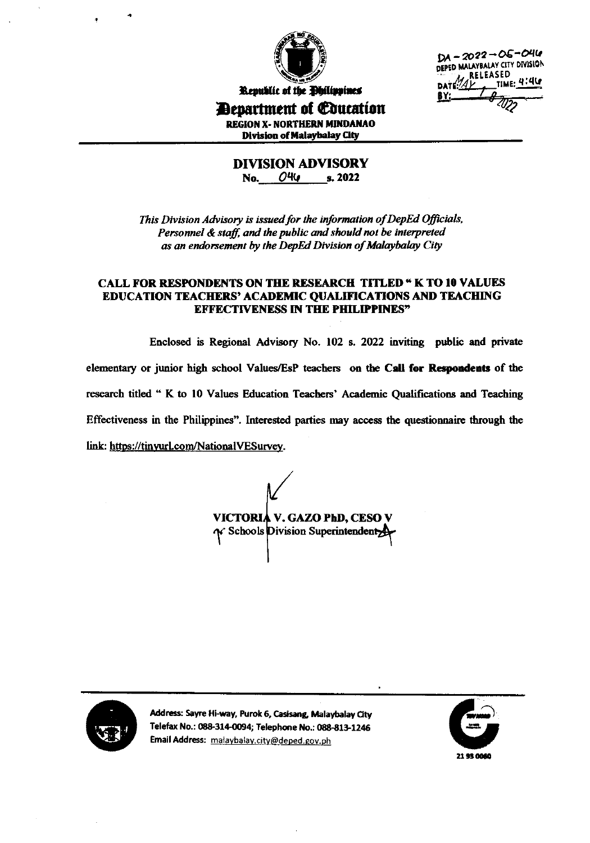

 $DA - 2022 - OS - O46$ DEPED MALAYBALAY CITY DIVISION **RELEASED** <sub>TIME:</sub> 4:4G

Republic of the Philippines *Penartment of Education* 

**REGION X- NORTHERN MINDANAO Division of Malaybalay City** 

**DIVISION ADVISORY** No. 044 s. 2022

This Division Advisory is issued for the information of DepEd Officials, Personnel & staff, and the public and should not be interpreted as an endorsement by the DepEd Division of Malaybalay City

### **CALL FOR RESPONDENTS ON THE RESEARCH TITLED " K TO 10 VALUES** EDUCATION TEACHERS' ACADEMIC QUALIFICATIONS AND TEACHING **EFFECTIVENESS IN THE PHILIPPINES"**

Enclosed is Regional Advisory No. 102 s. 2022 inviting public and private elementary or junior high school Values/EsP teachers on the Call for Respondents of the research titled " K to 10 Values Education Teachers' Academic Qualifications and Teaching Effectiveness in the Philippines". Interested parties may access the questionnaire through the link: https://tinyurl.com/NationalVESurvey.

**VICTORIA V. GAZO PhD, CESO V** N' Schools Division Superintendent



Address: Sayre Hi-way, Purok 6, Casisang, Malaybalay City Telefax No.: 088-314-0094; Telephone No.: 088-813-1246 Email Address: malaybalay.city@deped.gov.ph

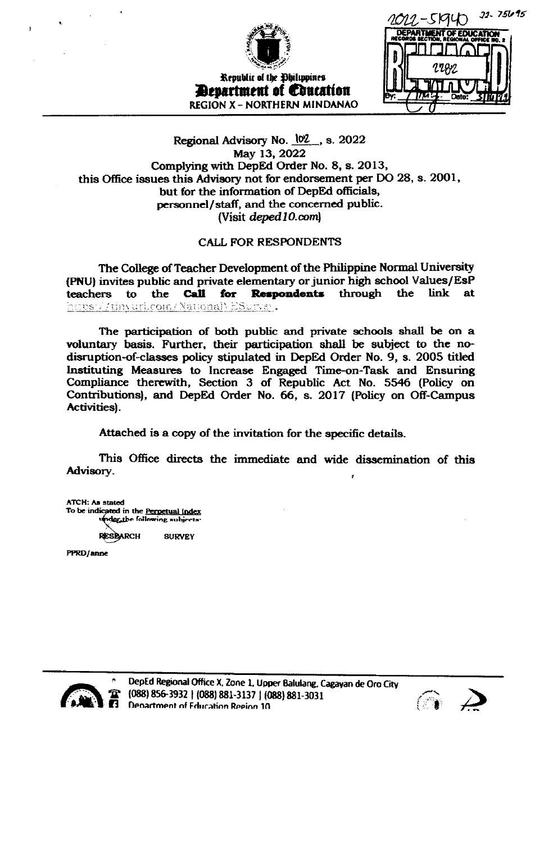

 $22 - 75695$ slaun **EDUCATION** 

## Regional Advisory No. 102, s. 2022 May 13, 2022 Complying with DepEd Order No. 8, s. 2013, this Office issues this Advisory not for endorsement per DO 28, s. 2001, but for the information of DepEd officials, personnel/staff, and the concerned public. (Visit deped 10.com)

## CALL FOR RESPONDENTS

The College of Teacher Development of the Philippine Normal University (PNU) invites public and private elementary or junior high school Values/EsP **Call** for teachers **Respondents** through link to the the at https://tinvurl.com/NationalyESurvey.

The participation of both public and private schools shall be on a voluntary basis. Further, their participation shall be subject to the nodisruption-of-classes policy stipulated in DepEd Order No. 9, s. 2005 titled Instituting Measures to Increase Engaged Time-on-Task and Ensuring Compliance therewith, Section 3 of Republic Act No. 5546 (Policy on Contributions), and DepEd Order No. 66, s. 2017 (Policy on Off-Campus Activities).

Attached is a copy of the invitation for the specific details.

This Office directs the immediate and wide dissemination of this Advisory.

**ATCH: As stated** To be indicated in the Perpetual Index under the following subjects.

**RESEARCH SURVEY** 

PPRD/anne



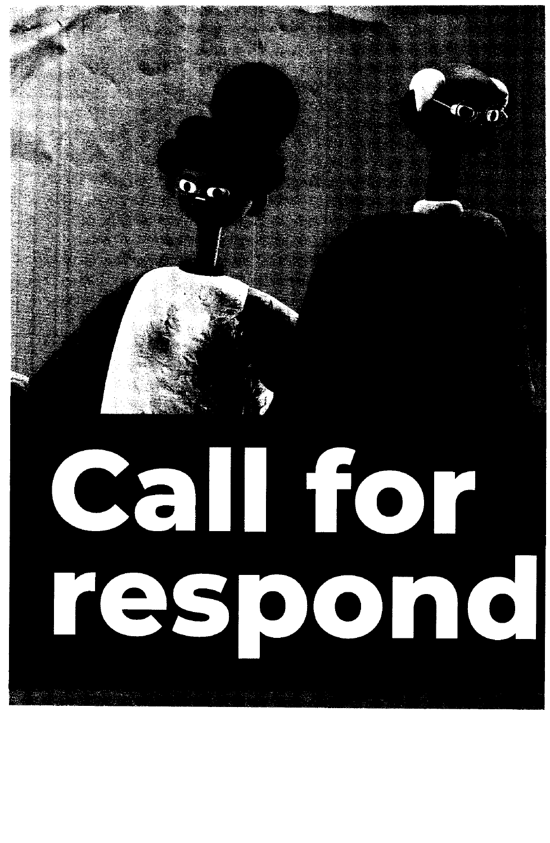# I  $\bullet$  $\bullet$  $\bullet$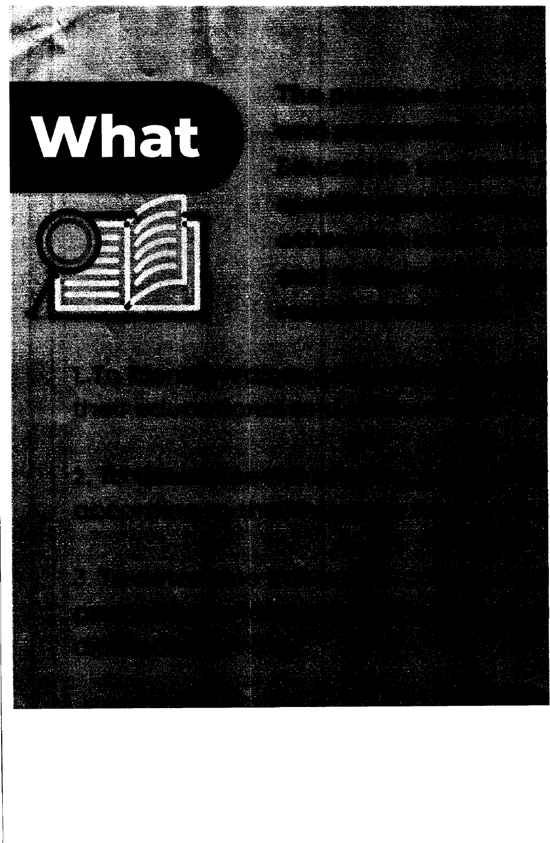## What

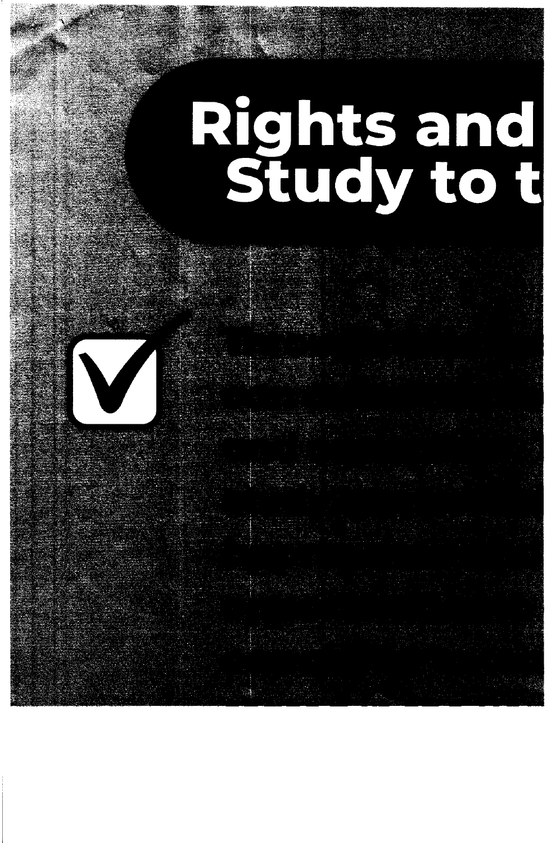## Rights and<br>Study to t

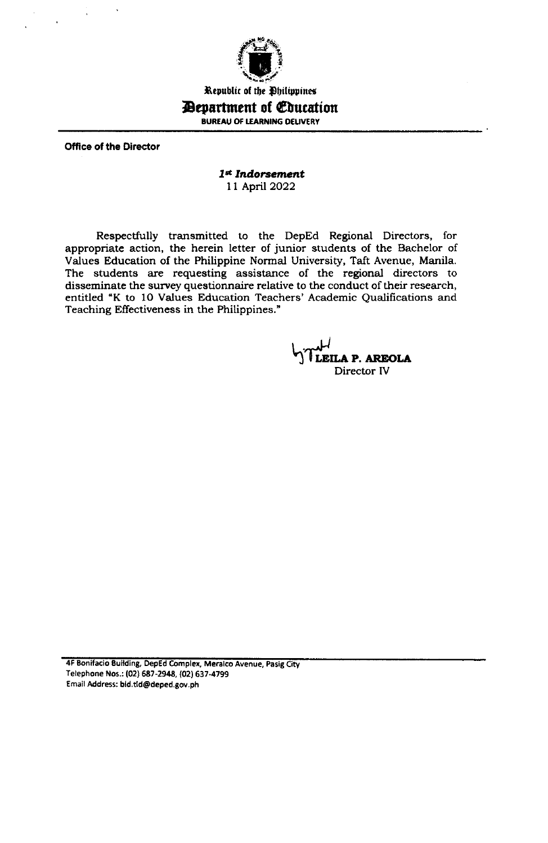

Republic of the Philippines

## *Bepartment of Education*

BUREAU OF LEARNING DELIVERY

**Office of the Director** 

## 1st Indorsement 11 April 2022

Respectfully transmitted to the DepEd Regional Directors, for appropriate action, the herein letter of junior students of the Bachelor of Values Education of the Philippine Normal University, Taft Avenue, Manila. The students are requesting assistance of the regional directors to disseminate the survey questionnaire relative to the conduct of their research, entitled "K to 10 Values Education Teachers' Academic Qualifications and Teaching Effectiveness in the Philippines."

LEILA P. AREOLA Director IV

4F Bonifacio Building, DepEd Complex, Meralco Avenue, Pasig City Telephone Nos.: (02) 687-2948, (02) 637-4799 Email Address: bid.tid@deped.gov.ph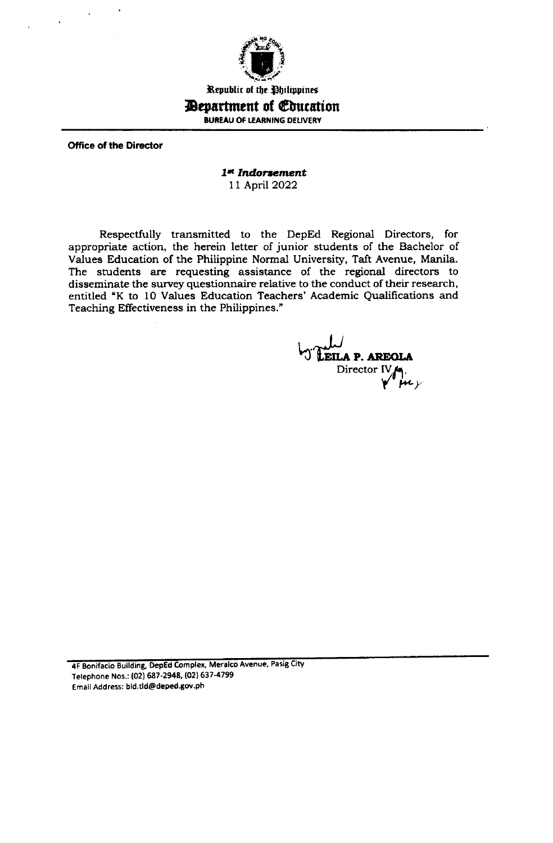

Kepublic of the Philippines

## **Department of Education**

BUREAU OF LEARNING DELIVERY

Office of the Director

## 1st Indorsement 11 April 2022

Respectfully transmitted to the DepEd Regional Directors, for appropriate action, the herein letter of junior students of the Bachelor of Values Education of the Philippine Normal University, Taft Avenue, Manila. The students are requesting assistance of the regional directors to disseminate the survey questionnaire relative to the conduct of their research, entitled "K to 10 Values Education Teachers' Academic Qualifications and Teaching Effectiveness in the Philippines."

**EILA P. AREOLA** Director  $IV_{\mathcal{A}}$ .

4F Bonifacio Building, DepEd Complex, Meralco Avenue, Pasig City Telephone Nos.: (02) 687-2948, (02) 637-4799 Email Address: bld.tld@deped.8ov.ph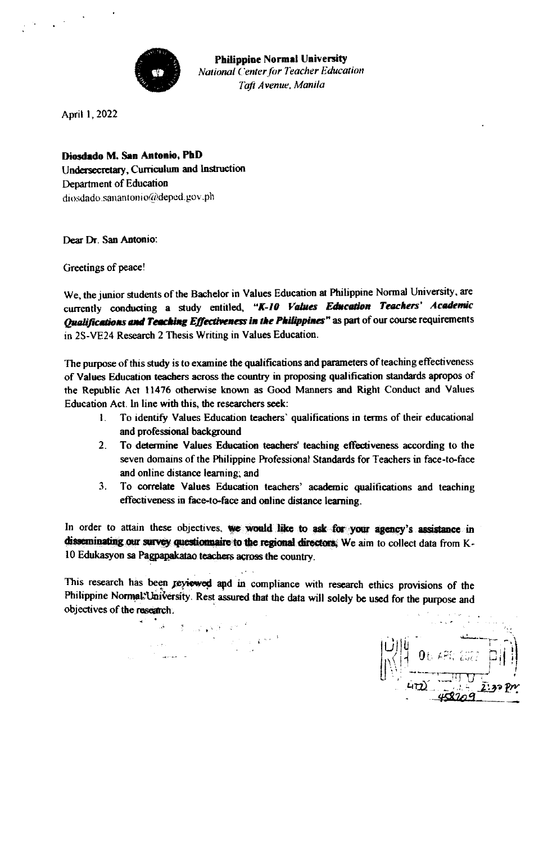

April 1, 2022

Diosdado M. San Antonio, PhD Undersecretary, Curriculum and Instruction Department of Education diosdado.sanantonio@deped.gov.ph

Dear Dr. San Antonio:

Greetings of peace!

We, the junior students of the Bachelor in Values Education at Philippine Normal University, are currently conducting a study entitled, "K-10 Values Education Teachers' Academic Qualifications and Teaching Effectiveness in the Philippines" as part of our course requirements in 2S-VE24 Research 2 Thesis Writing in Values Education.

The purpose of this study is to examine the qualifications and parameters of teaching effectiveness of Values Education teachers across the country in proposing qualification standards apropos of the Republic Act 11476 otherwise known as Good Manners and Right Conduct and Values Education Act. In line with this, the researchers seek:

- $\mathbf{L}$ To identify Values Education teachers' qualifications in terms of their educational and professional background
- 2. To determine Values Education teachers' teaching effectiveness according to the seven domains of the Philippine Professional Standards for Teachers in face-to-face and online distance learning; and
- To correlate Values Education teachers' academic qualifications and teaching  $3<sub>1</sub>$ effectiveness in face-to-face and online distance learning.

In order to attain these objectives, we would like to ask for your agency's assistance in disseminating our survey questionnaire to the regional directors. We aim to collect data from K-10 Edukasyon sa Pagpapakatao teachers across the country.

This research has been reviewed and in compliance with research ethics provisions of the Philippine Normal University. Rest assured that the data will solely be used for the purpose and objectives of the research.

 $\label{eq:2} \mathbb{E}\left[\mathbb{E}\left[\mathbb{E}\left[\mathbb{E}\left[\mathbb{E}\left[\mathbb{E}\left[\mathbb{E}\left[\mathbb{E}\left[\mathbb{E}\left[\mathbb{E}\left[\mathbb{E}\left[\mathbb{E}\left[\mathbb{E}\left[\mathbb{E}\left[\mathbb{E}\left[\mathbb{E}\left[\mathbb{E}\left[\mathbb{E}\left[\mathbb{E}\left[\mathbb{E}\left[\mathbb{E}\left[\mathbb{E}\left[\mathbb{E}\left[\mathbb{E}\left[\mathbb{E}\left[\mathbb{E}\left[\mathbb{E}\left[\mathbb{E}\left[\mathbb{E}\left[\mathbb{E}\left[\mathbb$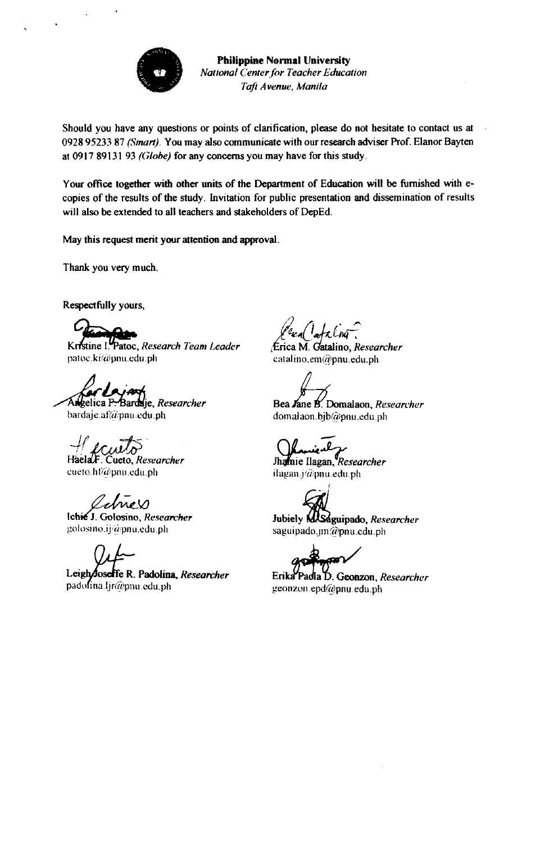

Should you have any questions or points of clarification, please do not hesitate to contact us at 0928 95233 87 (Smart). You may also communicate with our research adviser Prof. Elanor Bayten at 0917 89131 93 (Globe) for any concerns you may have for this study.

Your office together with other units of the Department of Education will be furnished with ecopies of the results of the study. Invitation for public presentation and dissemination of results will also be extended to all teachers and stakeholders of DepEd.

May this request merit your attention and approval.

Thank you very much.

Respectfully yours,

Kristine I. Patoc, Research Team Leader patoc.ki@pnu.edu.ph

Angelica F. Bardaje, Researcher

bardaje.af@pnu.edu.ph

Cueto, Researcher cueto.hf@pnu.edu.ph

ames Ichie J. Golosino, Researcher

golosino.ij@pnu.edu.ph

Leigh/loselfe R. Padolina, Researcher padofina.ljr@pnu.edu.ph

 $\frac{1}{2}$ deling

Érica M. Catalino, Researcher catalino.em@pnu.edu.ph

Bea Jane B. Domalaon, Researcher domalaon.bjb@pnu.edu.ph

Jhamie Ilagan, Researcher ilagan.j@pnu.edu.ph

Jubiely MASaguipado, Researcher saguipado.jm@pnu.edu.ph

Erika Padla D. Geonzon, Researcher geonzon.epd@pnu.edu.ph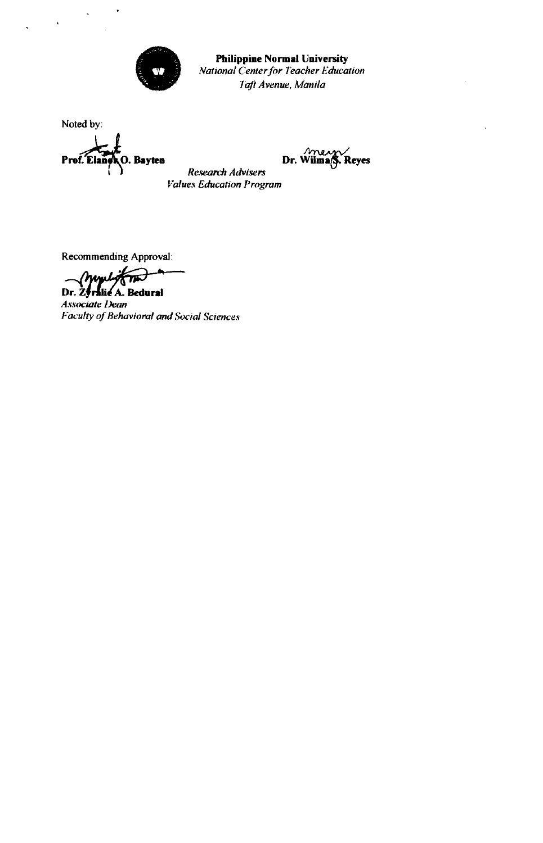

Noted by:

Prof. Eland O. Bayten



**Research Advisers Values Education Program** 

Recommending Approval:

mylig Dr. Zyralie A. Bedural

**Associate Dean** Faculty of Behavioral and Social Sciences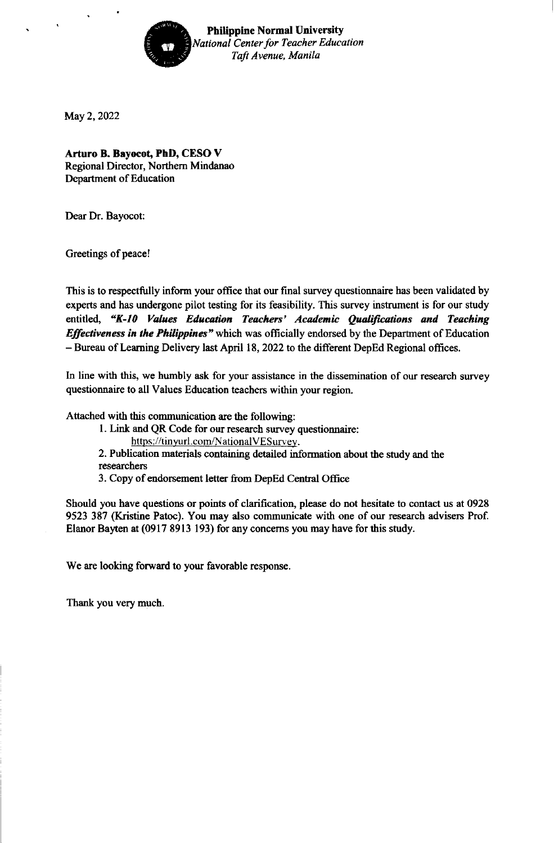

May2,2022

Arturo B. Bayocot, PhD, CESO V Regional Director, Northem Mindanao Department of Education

Dear Dr. Bayocot:

Greetings of peace!

This is to respectfully inform your office that our final survey questionnaire has been validated by experts and has undergone pilot testing for its feasibility. This survey instrument is for our study entitled, "K-10 Values Education Teachers' Academic Qualifications and Teaching Effectiveness in the Philippines" which was officially endorsed by the Department of Education - Bureau of Leaming Delivery last April 18, 2022 to the different DepEd Regional offices.

In line with this, we humbly ask for your assistance in the dissemination of our research survey questionnaire to all Values Education teachers within your region.

Attached with this communication are the following:

1. Link and QR Code for our research survey questionnaire:

https://tinyurl.com/NationalVESurvey.

2. Publication materials containing detailed information about the study and the researchers

3. Copy of endorsement letter from DepEd Central Office

Should you have questions or poins of clarification, please do not hesitate to contact us at 0928 9523 387 (Kristine Patoc). You may also communicate with one of our research advisers Prof. Elanor Bayten at (0917 8913 193) for any concerns you may have for this study.

We are looking forward to your favorable response.

Thank you very much.